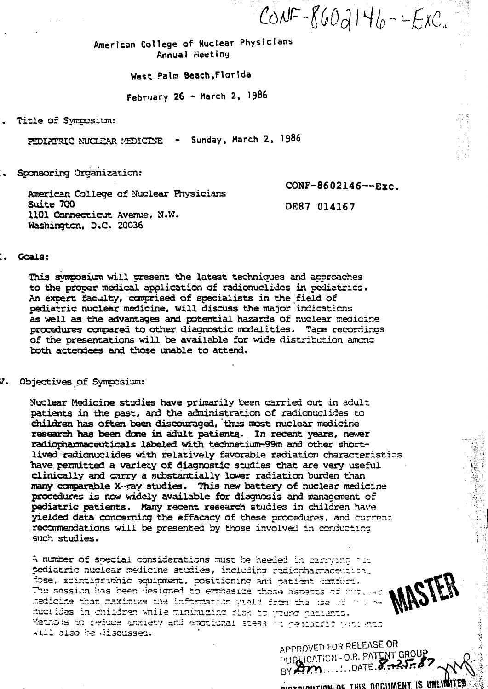$COWF - 860d146 - -ExC.$ 

American College of Nuclear Physicians Annual Heeting

West Pain Beach,Florida

February 26 - March 2, 1986

.. Title of Symposium:

PEDIATSIC NUCLEAR MEDICINE - Sunday, March 2, 1986

:. Sponsoring Organization:

washington. 0 (c. 2000)

CONP-8602146—-Exc. American College of Nuclear Physicians Suite 700 DE 8 7 014167 1101 Connecticut Avenue, N.W.<br>Wachi<del>ngt</del>on D.C. 20036

# :. Goals:

This symposium will present the latest techniques and approaches to the proper medical application of radionuclides in pediatrics. An expert faculty, comprised of specialists in the field of pediatric nuclear medicine, will discuss the major indications as well as the advantages and potential hazards of nuclear medicine procedures compared to other diagnostic modalities. Tape recordings of the presentations will be available for wide distribution among both attendees and those unable to attend.

V. Objectives of Symposium:

Nuclear Medicine studies have primarily been carried out in adult patients in the past, and the administration of radionuclides to children has often been discouraged, thus most nuclear medicine research has been done in adult, patients.\* In recent years, newer radiopharmaceuticals labeled with technetium-99m and other shortlived radianuclides with relatively favorable radiation characteristics have permitted a variety of diagnostic studies that are very useful clinically and carry a yubstantially lower radiation burden than many comparable X-ray studies. This new battery of nuclear medicine procedures is now widely available for diagnosis and management of pediatric patients. Many recent research studies in children have yielded data concerning the effacacy of these procedures, and current recommendations will be presented by those involved in conducting such studies.

A number of special considerations must be heeded in carrying out pediatric nuclear medicine studies, including radionharmaceutical dose, scintigrabhic equipment, positioning and patient comfort. The session has been designed to emphasize those aspects of wholeduclides in children while minimizing risk to young patients. Methols to reduce anxiety and emotional stess in rediatric patients whil also be discussed.

APPROVED FOR*'* PUPLICATION - O.R. PATENT GROUP BY AM ....... DATE 8. 25.87

nt This DOCUMENT IS UNLIMITED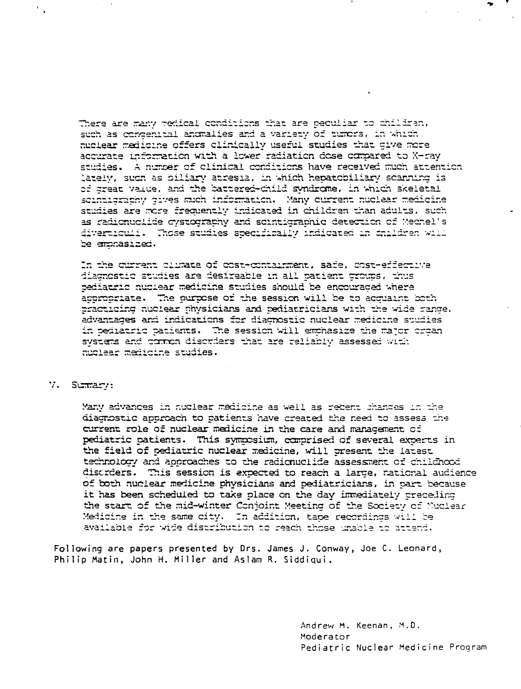There are many redical conditions that are ceculiar to children, such as concentral anomalies and a variety of tumors, in which nuclear medicine offers clinically useful studies that give more accurate ir.fsrraticn with a lover radiation dese compared to X-ray studies. A number of clinical conditions have received much attention lately, such as biliary atresia, in which hepatcbiliary scanning is of great value, and the battered-child syndrome, in which skeletal scintisrathy sives much information. Many current nuclear medicine studies are mere frequently indicated in children than adults, such as radionuclide cystography and scintigraphic detection of Mechel's divarticuli. Those studies specifically indicated in cnildren will be arsnasized.

In the current climate of cost-containment, safe, cost-effective diagnostic studies are desireable in all patient groups, thus bediatric nuclear medicine studies should be encouraged where appropriate. Tne nurpese of the session will be to acquaint bcth practicing nuclear physicians and pediatricians with the 'vide range, advantages and indications for diagnostic nuclear r.edicir.e studies in pediatric patients. The session will emphasize the major crgan systers and common disorders that are reliably assessed with nuclear medicine studies.

V. Sumary:

Many advances in nuclear madicine as well as recent changes in the diagnostic approach to patients '[\ave created the need to assess the current role of nuclear medicine in the care and management of pediatric patients. This syrnposium, canprised of several experts in the field of pediatric nuclear xedicine, will present the latest technology and approaches to the radicnuciide assessment of childhood disorders. This session is expected to reach a large, national audience of both nuclear medicine physicians and pediatricians, in part because it has been scheduled to take place on the day immediately preceding the start of the nid-winter Conjoint Meeting of the Society cf Nuclear Medicine in the same city. In addition, tape recordings will re available for vide distribution to reach those unable tc attend.

Following are papers presented by Drs. James J. Conway, Joe C. Leonard, Philip Matin, John H. Miller and Aslam R. Siddiqui.

> Andrew M. Keenan, M.D. Moderator Pediatric Nuclear Medicine Program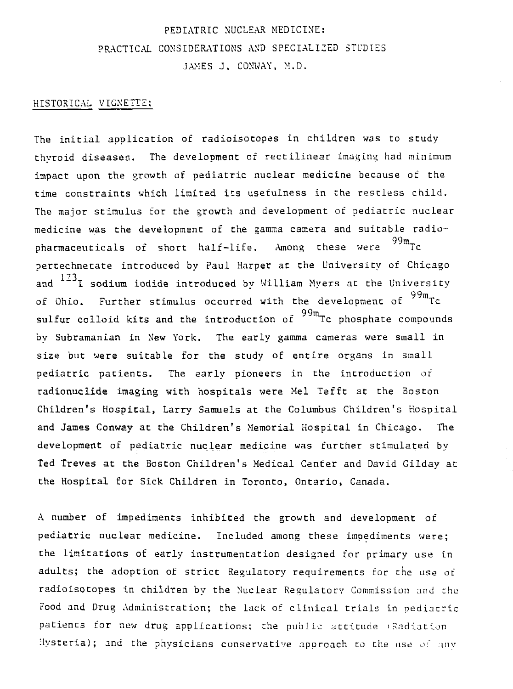# PEDIATRIC NUCLEAR MEDICINE: PRACTICAL CONSIDERATIONS AND SPECIALIZED STUDIES JAMES J. CONWAY. M.D.

# HISTORICAL VIGNETTE:

The initial application of radioisotopes in children was to study thyroid diseases. The development of rectilinear imaging had minimum impact upon the growth of pediatric nuclear medicine because of the time constraints which limited its usefulness in the restless child. The major stimulus for the growth and development of pediatric nuclear medicine was the development of the gamma camera and suitable radiopharmaceuticals of short half-life. Among these were  $99m$ Tc pertechnetate introduced by Paul Harper at the University of Chicago and  $^{123}$ I sodium iodide introduced by William Myers at the University of Ohio. Further stimulus occurred with the development of <sup>99m</sup>Tc sulfur colloid kits and the introduction of <sup>99m</sup>Tc phosphate compounds by Subramanian in New York. The early gamma cameras were small in size but were suitable for the study of entire organs in small pediatric patients. The early pioneers in the introduction of radionuclide imaging with hospitals were Mel Tefft at the Boston Children's Hospital, Larry Samuels at the Columbus Children's Hospital and James Conway at the Children's Memorial Hospital in Chicago. The development of pediatric nuclear medicine was further stimulated by Ted Treves at the Boston Children's Medical Center and David Gilday at the Hospital for Sick Children in Toronto, Ontario, Canada.

A number of impediments inhibited the growth and development of pediatric nuclear medicine. Included among these impediments were; the limitations of early instrumentation designed for primary use in adults; the adoption of strict Regulatory requirements tor the use or radioisotopes in children by the Nuclear Regulatory Commission and the Food and Drug Administration; the lack of clinical trials in pediatric patients for new drug applications; the public attitude i Radiation Hysteria); and the physicians conservative approach to the use of any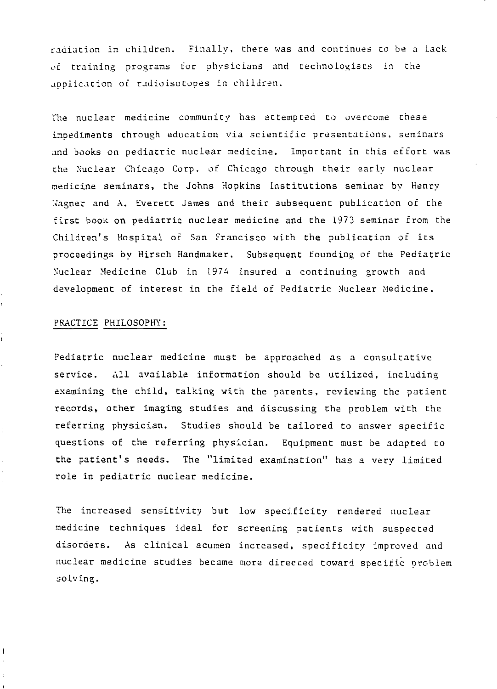radiation in children. Finally, there was and continues to be a lack of training programs for physicians and technologists in the application of radioisotopes in children.

The nuclear medicine community has attempted to overcome these impediments through education via scientific presentations, seminars and books on pediatric nuclear medicine. Important in this effort was the Nuclear Chicago Corp. of Chicago through their early nuclear medicine seminars, the Johns Hopkins Institutions seminar by Henry Wagner and A. Everett James and their subsequent publication of the first book on pediatric nuclear medicine and the 1973 seminar from the Children's Hospital of San Francisco with the publication of its proceedings by Hirsch Handmaker. Subsequent founding of the Pediatric Nuclear Medicine Club in 1974 insured a continuing growth and development of interest in the field of Pediatric Nuclear Medicine.

#### PRACTICE PHILOSOPHY:

ł

ĵ.

 $\mathbf{f}$ 

Pediatric nuclear medicine must be approached as a consultative service. All available information should be utilized, including examining the child, talking with the parents, reviewing the patient records, other imaging studies and discussing the problem with the referring physician. Studies should be tailored to answer specific questions of the referring physician. Equipment must be adapted to the patient's needs. The "limited examination" has a very limited role in pediatric nuclear medicine.

The increased sensitivity but low specificity rendered nuclear medicine techniques ideal for screening patients with suspected disorders. As clinical acumen increased, specificity improved and nuclear medicine studies became more directed toward specific problem solving.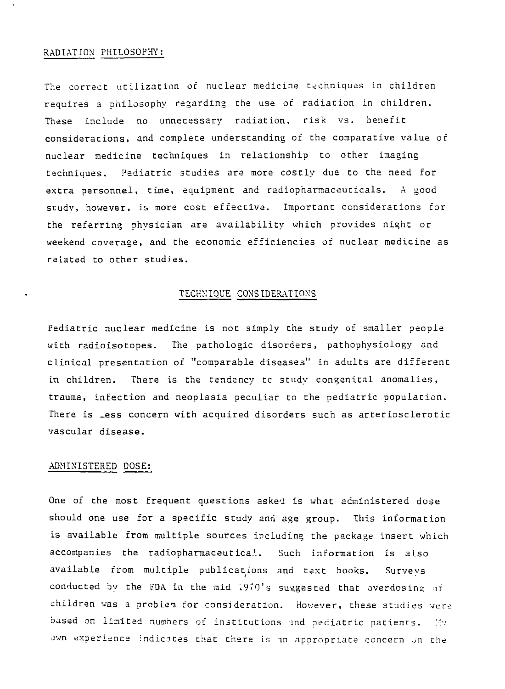#### RADIATION PHILOSOPHY:

The correct utilization of nuclear medicine techniques in children requires a philosophy regarding the use of radiation in children. These include no unnecessary radiation, risk vs. benefit considerations, and complete understanding of the comparative value of nuclear medicine techniques in relationship to other imaging techniques. Pediatric studies are more costly due to the need for extra personnel, time, equipment and radiopharmaceuticals. A good study, however, is more cost effective. Important considerations for the referring physician are availability which provides night or weekend coverage, and the economic efficiencies of nuclear medicine as related to other studies.

## TECHNIQUE CONSIDERATIONS

Pediatric nuclear medicine is not simply the study of smaller people with radioisotopes. The pathologic disorders, pathophysiology and clinical presentation of "comparable diseases" in adults are different in children. There is the tendency tc study congenital anomalies, trauma, infection and neoplasia peculiar to the pediatric population. There is Less concern with acquired disorders such as arteriosclerotic vascular disease.

## ADMINISTERED DOSE:

One of the most frequent questions asked is what administered dose should one use for a specific study and age group. This information is available from multiple sources including the package insert which accompanies the radiopharmaceutical. Such information is also available from multiple publications and text books. Surveys conducted by the FDA in the mid 1970's suggested that overdosing of children was a problem for consideration. However, these studies were based on limited numbers of institutions and pediatric patients. My own experience indicates that there is an appropriate concern on the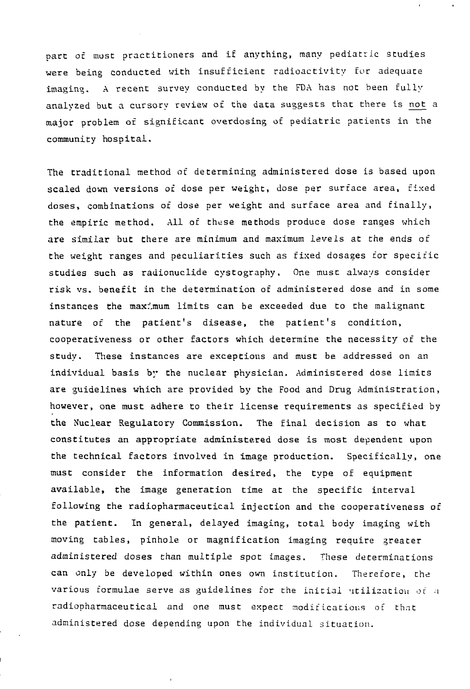pare of most practitioners and if anything, many pediatric studies were being conducted with insufficient radioactivity for adequate imaging. A recent survey conducted by the FDA has not been fully analyzed but a cursory review of the data suggests that there is not a major problem of significant overdosing of pediatric patients in the community hospital.

The traditional method of determining administered dose is based upon scaled down versions of dose per weight, dose per surface area, fixed doses, combinations of dose per weight and surface area and finally, the empiric method. All of these methods produce dose ranges which are similar but there are minimum and maximum levels at the ends of the weight ranges and peculiarities such as fixed dosages for specific studies such as radionuclide cystography. One must always consider risk vs. benefit in the determination of administered dose and in some instances the maximum limits can be exceeded due to the malignant nature of the patient's disease, the patient's condition, cooperativeness or other factors which determine the necessity of the study. These instances are exceptions and must be addressed on an individual basis by the nuclear physician. Administered dose limits are guidelines which are provided by the Food and Drug Administration, however, one must adhere to their license requirements as specified by the Nuclear Regulatory Commission. The final decision as to what constitutes an appropriate administered dose is most dependent upon the technical factors involved in image production. Specifically, one must consider the information desired, the type of equipment available, the image generation time at the specific interval following the radiopharmaceutical injection and the cooperativeness of the patient. In general, delayed imaging, total body imaging with moving tables, pinhole or magnification imaging require greater administered doses than multiple spot images. These determinations can only be developed within ones own institution. Therefore, the various formulae serve as guidelines for the initial utilization of a radiopharmaceutical and one must expect modifications of that administered dose depending upon the individual situation.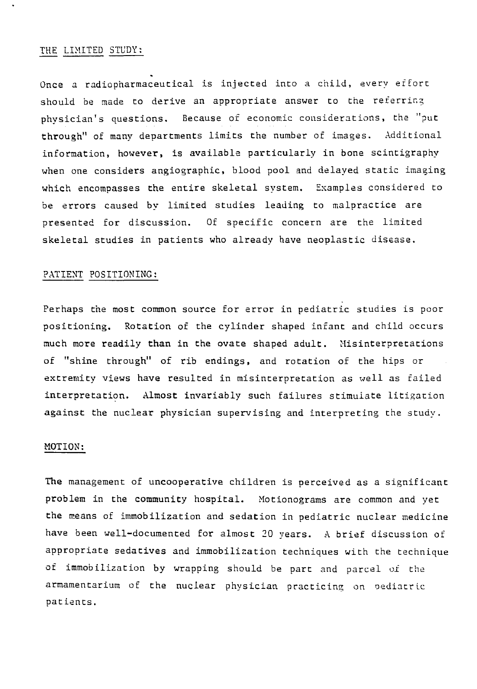### THE LIMITED STUDY:

Once a radiopharmaceutical is injected into a child, every effort should be made to derive an appropriate answer to the referring physician's questions. Because of economic considerations, the "put through" of many departments limits the number of images. Additional information, however, is available particularly in bone scintigraphy when one considers angiographic, blood pool and delayed static imaging which encompasses the entire skeletal system. Examples considered to be errors caused by limited studies leading to malpractice are presented for discussion. Of specific concern are the limited skeletal studies in patients who already have neoplastic disease.

# PATIENT POSITIONING:

Perhaps the most common source for error in pediatric studies is poor positioning. Rotation of the cylinder shaped infant and child occurs much more readily than in the ovate shaped adult. Misinterpretations of "shine through" of rib endings, and rotation of the hips or extremity views have resulted in misinterpretation as well as failed interpretation. Almost invariably such failures stimulate litigation against the nuclear physician supervising and interpreting the study.

## MOTION:

The management of uncooperative children is perceived as a significant problem in the community hospital. Motionograms are common and yet the means of immobilization and sedation in pediatric nuclear medicine have been well-documented for almost 20 years. A brief discussion of appropriate sedatives and immobilization techniques with the technique of immobilization by wrapping should be part and parcel of the armamentarium of the nuclear physician practicing on oediatric patients.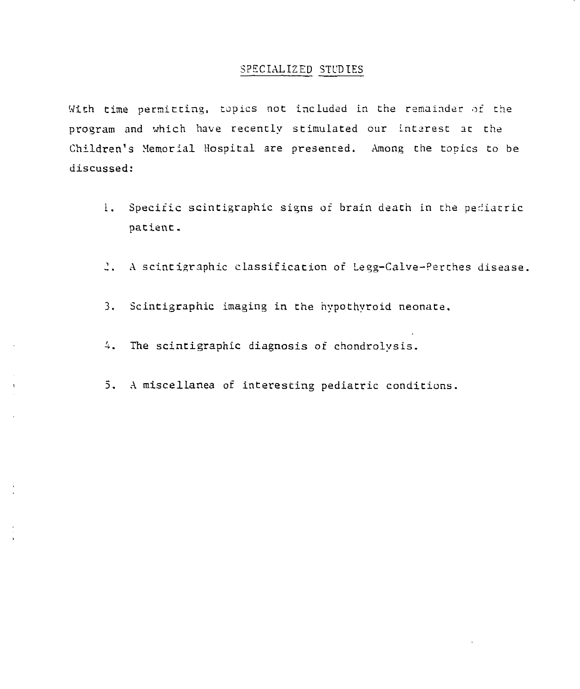# SPECIALIZED STUDIES

With time permitting, topics not included in the remainder of the program and which have recently stimulated our interest ac the Children's Memorial Hospital are presented. Among the topics to be discussed:

- 1. Specific scintigraphic signs of brain death in the pediatric patient.
- .1. A scintigraphic classification of Legg-Calve-Perches disease.
- 3. Scintigraphic imaging in the hypothyroid neonate.
- 4. The scintigraphic diagnosis of chondrolysis.
- 5. A miscellanea of interesting pediatric conditions.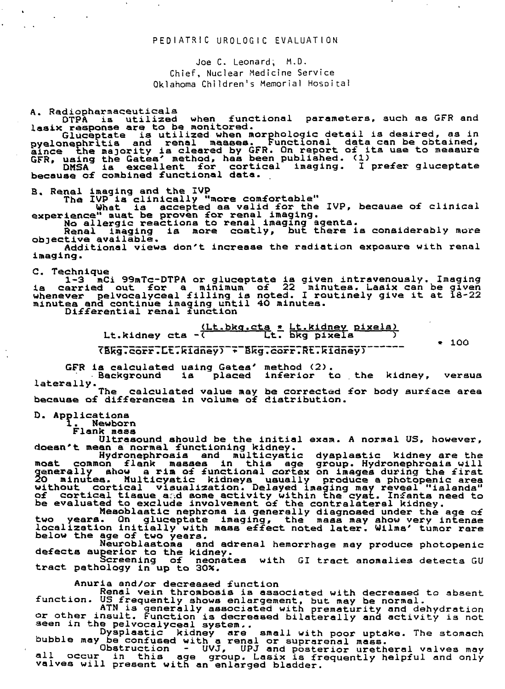### PEDIATRIC UROLOGIC EVALUATION

Joe C. Leonard, M.D. Chief, Nuclear Medicine Service Oklahoma Children's Memorial Hospital

A. Radiopharmaceuticala

functional parameters, such as GFR and **COTPA is utilized when functional example of the monitored.** 

Gluceptate is utilized when morphologic detail ia desired, as in pyelonephritis and renal masses. Functional data can be obtained, since the majority is cleared by GFR. On report of its use to measure GFR, using the Gates' method, has been published. (1) DMSA is excellent for cortical imaging. I prefer gluceptate because of combined functional data.

B. Renal imaging and the IVP

The IVP ia clinically "more comfortable"

What is accepted as valid for the IVP, because of clinical experience" must be proven for renal imaging.

No allergic reactions to renal imaging agents.

Renal imaging ia more costly, but there ia considerably more objective available.

Additional views don't increase the radiation exposure with renal imaging.

C. Technique

1-3 mCi 99mTc-DTPA or gluceptate ia given intravenously. Imaging is carried out for a minimum of 22 minutes. Laaix can be given whenever pelvocalyceal filling is noted. I routinely give it at 18-22 minutes and continue imaging until 40 minutes.

Differential renal function

(Lt.bkg.cta \* Lt.kidney pixels) Lt.kidney cts -( Ct. bkg pixels )

\* 100

TBKgTcorfTCtTRidney) \* Bk"g.corr7RE7k"Xdney7~ ~" ~

GFR is calculated using Gates' method (2).

Background ia placed inferior to the kidney, versus laterally.<br>The

The calculated value may be corrected for body surface area because of differences in volume of distribution.

D. Applications

1. Newborn

Flank mass

Ultrasound should be the initial exam. A normal US, however, doesn't mean a normal functioning kidney. doesn't mean a normal functioning kidney.

Hydronephrosis and multlcystic dysplaatic kidney are the most common flank masses in this age group. Hydronephrosis will generally show a rim of functional cortex on images during the first 2O minutes. Multicystic kidneys usually produce a photopenic area without cortical visualization. Delayed Imaging may reveal "islands" of cortical tissue sad some activity within the cyst. Infants need to be evaluated to exclude involvement of the contrslateral kidney.

Mesoblaatic nephroma ia generally diagnosed under the age of two years. On gluceptate imaging, the mass may show very intense localization initially with mass effect noted later. Wilma' tumor rare below the age of two years.<br>Neuroblastoma an

and adrenal hemorrhage may produce photopenic defects superior to the kidney.

Screening of neonatea with GI tract anomalies detects GU tract pathology in up to 30X.

Anuria and/or decreased function

Renai vein thrombosis ia associated with decreased to absent function. US frequently shows enlargement, but may be normal.

ATN ia generally associated with prematurity and dehydration or other insult. Function is decreased bilaterally and activity ia not seen in the pelvocalyceal system..

Dysplastic kidney are small with poor uptake. The stomach bubble may be confused with a renal or suprarenal mass.

Obstruction - UVJ, UPJ and posterior uretheral valves may all occur in this age group. Lasix is frequently helpful and only valves will present with an enlarged bladder.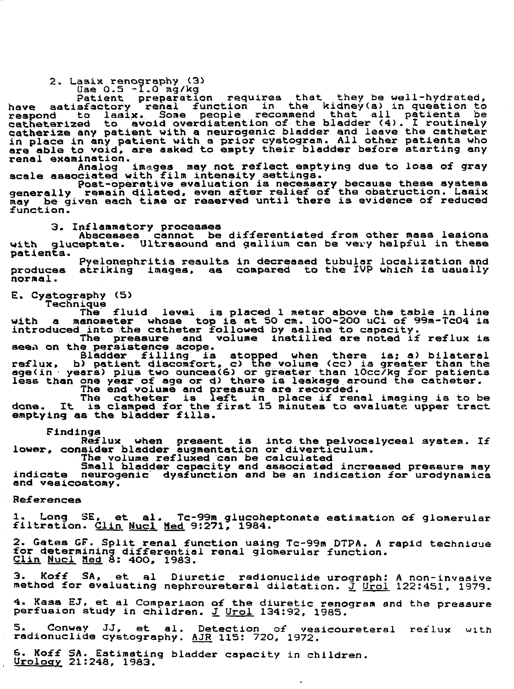2. Lasix renography (3)

Use 0.5 -1.0 mg/kg

Patient preparation requires that they be well-hydrated, have satisfactory renal function in the kidney(a) in question to respond to laaix. Some people recommend that all patienta be catheterized to avoid overdiafcention of the bladder <4) . I routinely catherize any patient with a neurogenic bladder and leave the catheter in place in any patient with a prior cystogram. All other patients who are able to void, are asked to empty their bladder before starting any

renal examination.<br>Analog images may not reflect emptying due to loss of gray scale associated with film intensity settings.

Post-operative evaluation is necessary because these systems generally remain dilated, even after relief of the obstruction. Laaix may be given each time or reserved until there is evidence of reduced function.

3. Inflammatory processes

Abscesses cannot be differentiated from other mass lesions with gluceptate. Ultrasound and gallium can be very helpful in these patients.

Pyelonephritis results in decreased tubular localization and produces striking images, aa compared to the IVP which is usually normal.

E. Cystography (5)

Technique The fluid level is placed 1 meter above the table in line with a manometer whose top is at 5O cm. 100-200 uCi of 99m-TcO4 is introduced into the catheter followed by saline to capacity.

The pressure and volume instilled are noted if reflux is aeea on the persistence scope.

Bladder filling is stopped when there is; a) bilateral raflux, b) patient discomfort, c) the volume (cc) is greater than the age(in • years) plus two ounces<6) or greater than lOcc/kg for patients less than one year of age or d) there is leakage around the catheter. The end volume and pressure are recorded.

The catheter is left in place if renal imaging is to be done. It is clamped for the first 15 minutes to evaluate upper tract emptying as the bladder fills.

Findings

Reflux when present is into the pelvocalyceal system. If lower, consider bladder augmentation or diverticulum.

The volume refluxed can be calculated

Small bladder capacity and associated increased pressure may indicate neurogenic dysfunction and be an indication for urodynamica and veslcostomy.

References

1. Long SE, et al. Tc-99m glucoheptonate estimation of glomerular filtration. Clin. Nucl Med 9:271, 1984.

2. Gates GF. Split renal function using Tc-99m DTPA. A rapid techniaue for determining differential renal glomerular function. Clin Nucl Med 8: 4OO, 1983.

3. Koff SA, et al Diuretic radionuclide urograph: A non-invasive method for evaluating nephroureteral dilatation. J Urol 122:451, 1979.

4. Kass EJ, et al Comparison of the diuretic renogram and the pressure perfuaion study in children. J Urol 134:92, 1985.

5. Conway JJ, et al. Detection of vesicoureteral reflux with radionuclide cystography. AJR 115: 720, 1972.

 $\overline{a}$ 

6. Koff SA. Estimating bladder capacity in children.<br><u>Urology</u> 21:248, 1983.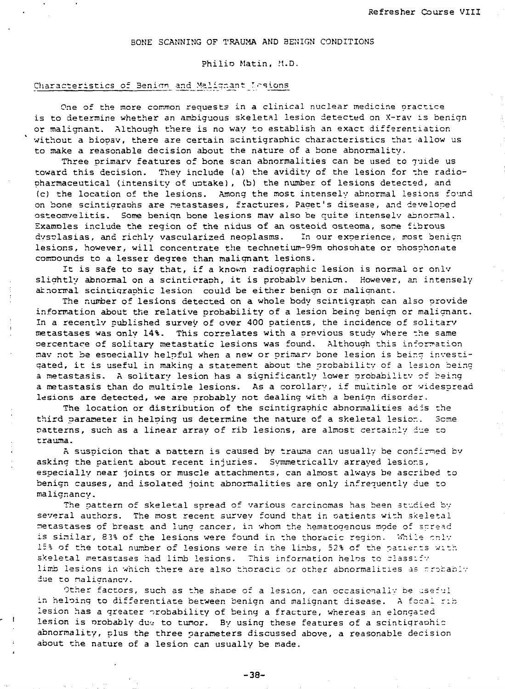# BONE SCANNING OF TRAUMA AND BENIGN CONDITIONS

#### Philio Matin, M.D.

# Characteristics of Benion and Malignant Lesions

One of the more common requests in a clinical nuclear medicine practice is to determine whether an ambiguous skeletal lesion detected on X-rav is benign or malignant. Although there is no way to establish an exact differentiation without a biopsy, there are certain scintigraphic characteristics that allow us to make a reasonable decision about the nature of a bone abnormality.

Three primarv features of bone scan abnormalities can be used to guide us toward this decision. They include (a) the avidity of the lesion for the radiopharmaceutical (intensity of uotake), (b) the number of lesions detected, and (c) the location of the lesions. Among the most intensely abnormal lesions found on bone scintigraohs are netastases, fractures. Pager's disease, and developed asteomveiitis. Some beriiqn bone lesions mav also be quite intensely abnormal. Examples include the region of the nidus of an osteoid osteoma, some fibrous dvsplasias, and richly vascularized neoplasms. In our experience, most benign lesions, however, will concentrate the technetium-99m ohosohate or phosphonate compounds to a lesser degree than malignant lesions.

It is safe to say that, if a knovm radiographic lesion is normal or onlv slightly abnormal on a scinticraph, it is probably benion. However, an intensely atnormal scintigraphic lesion could be either benign or malignant.

The number of lesions detected on a whole body scintigraph can also provide information about the relative probability of a lesion being benign or malignant. In a recently published survey of over 400 patients, the incidence of solitarv metastases was only 14%. This correlates with a previous study where the same oercentace of solitary metastatic lesions was found. Although this information nav not be especially helpful when a new or primarv bone lesion is being investigated, it is useful in making a statement about the probability of a lesion being a metastasis. A solitary lesion has a significantly lower probability of being a metastasis than do multiple lesions. As a corollary, if multiple or widespread lesions are detected, we are probably not dealing with a benign disorder.

The location or distribution of the scintigraphic abnormalities adis the third parameter in helping us determine the nature of a skeletal lesior.. Seme patterns, such as a linear array of rib lesions, are almost certainly due to trauma.

A suspicion that a pattern is caused by trauma can usually be confirmed by asking the patient about recent injuries. Symmetrically arrayed lesior.s, especially near joints or muscle attachments, can almost always be ascribed to benign causes, and isolated joint abnormalities are only infrequently due to malignancy.

The pattern of skeletal spread of various carcinomas has been studied by several authors. The most recent survey found that in oatients with skeletal metastases of breast and lung cancer, in whom the hematogenous mode of spread is similar, 83% of the lesions were found in the thoracic region. While only 15% of the total number of lesions were in the lirbs, 52% of the patierts with skeletal metastases had limb lesions. This information helps to classify limb lesions in which there are also thoracic or other abnormalities as rrsbablv due to nalignancv.

Other factors, such as the shaoe of a lesion, can occasionally be useful in haloing to differentiate between benign and malignant disease. A fecal rib lesion has a greater probability of being a fracture, whereas an elongated lesion is probably due to tumor. By using these features of a scintigraphic abnormality, plus the three parameters discussed above, a reasonable decision about the nature of a lesion can usually be made.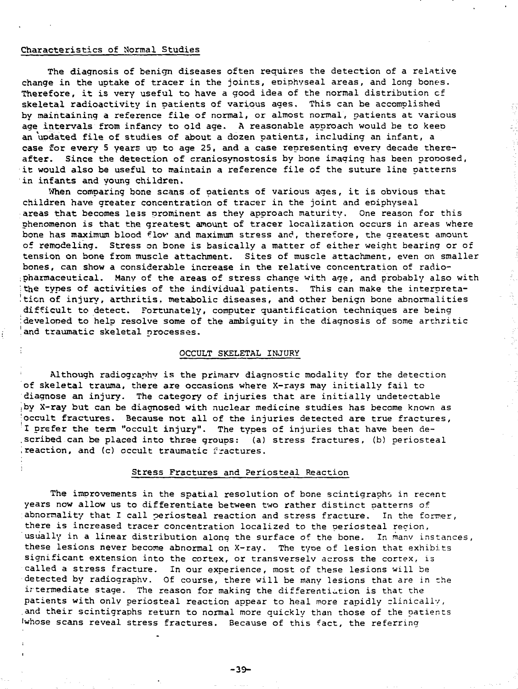#### Characteristics of Normal Studies

The diagnosis of benign diseases often requires the detection of a relative change in the uptake of tracer in the joints, eoiphyseal areas, and long bones. Therefore, it is very useful to have a good idea of the normal distribution cf skeletal radioactivity in patients of various ages. This can be accomplished by maintaining a reference file of normal, or almost normal, patients at various age intervals from infancy to old age. A reasonable approach would be to keen an'updated file of studies of about a dozen patients, including an infant, a case for every 5 years up to age 25, and a case representing every decade thereafter. Since the detection of craniosynostosis by bone imaging has been proposed, it would also be useful to maintain a reference file of the suture line patterns in infants and young children.

Ő

When comparing bone scans of patients of various ages, it is obvious that children have greater concentration of tracer in the joint and epiphyseal areas that becomes less prominent as they approach maturity. One reason for this phenomenon is that the greatest amount of tracer localization occurs in areas where bone has maximum blood flov and maximum stress and, therefore, the greatest amount of remodeling. Stress on bone is basically a matter of either weight bearing or of tension on bone from muscle attachment. Sites of muscle attachment, even on smaller bones, can show a considerable increase in the relative concentration of radio- ;pharmaceutical. Many of the areas of stress change with age, and probably also with the types of activities of the individual patients. This can make the interpreta $t$ tion of injury, arthritis, metabolic diseases, and other benign bone abnormalities difficult to detect. Fortunately, computer quantification techniques are being :developed to help resolve some of the ambiguity in the diagnosis of some arthritic and traumatic skeletal processes.

### ; OCCULT SKELETAL INJURY

Although radiography is the primary diagnostic modality for the detection of skeletal trauma, there are occasions where X-rays may initially fail to diagnose an injury. The category of injuries that are initially undetectable iby X-ray but can be diagnosed with nuclear medicine studies has become known as •occult fractures. Because not all of the injuries detected are true fractures, I prefer the term "occult injury". The types of injuries that have been de- .scribed can be placed into thrse groups: (a) stress fractures, (b) periosteal ', reaction, and (c) occult traumatic fractures.

### Stress Fractures and Periosteal Reaction

The improvements in the spatial resolution of bone scintigraphs in recent years now allow us to differentiate between two rather distinct patterns of abnormality that I call periosteal reaction and stress fracture. In the former, there is increased tracer concentration localized to the periosteal region, usually in a linear distribution along the surface of the bone. In many instances, these lesions never become abnormal on X-ray. The tyoe of lesion that exhibits significant extension into the cortex, or transversely across the cortex, is called a stress fracture. In our experience, most of these lesions will be detected by radiography. Of course, there will be many lesions that are in the intermediate stage. The reason for making the differentiation is that the patients with only periosteal reaction appear to heal more rapidly clinically, .and their scintigraphs return to normal more quickly than those of the patients iwhose scans reveal stress fractures. Because of this fact, the referring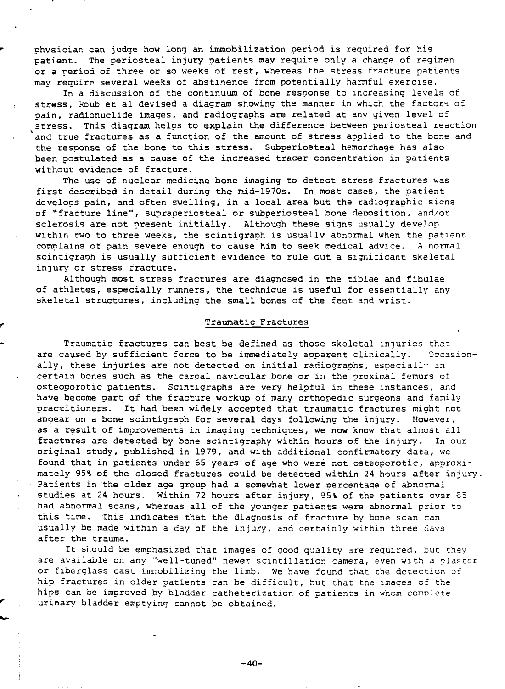physician can judge how Long an immobilization period is required for his patient. The periosteal injury patients may require only a change of regimen or a period of three or so weeks of rest, whereas the stress fracture patients may require several weeks of abstinence from potentially harmful exercise.

In a discussion of the continuum of bone response to increasing levels of stress, Roub et al devised a diagram showing the manner in which the factors of pain, radionuclide images, and radiographs are related at any given level of stress. This diaqram helps to explain the difference between periosteal reaction and true fractures as a function of the amount of stress applied to the bone and the response of the bone to this stress. Subperiosteal hemorrhage has also been postulated as a cause of the increased tracer concentration in patients without evidence of fracture.

The use of nuclear medicine bone imaging to detect stress fractures was first described in detail during the mid-1970s. In most cases, the patient develops pain, and often swelling, in a local area but the radiographic siqns of "fracture line", supraperiosteal or subperiosteal bone deposition, and/or sclerosis are not present initially. Although these signs usually develop within two to three weeks, the scintigraph is usually abnormal when the patient complains of pain severe enough to cause him to seek medical advice. A normal scintigraph is usually sufficient evidence to rule out a significant skeletal injury or stress fracture.

Although most stress fractures are diagnosed in the tibiae and fibulae of athletes, especially runners, the technique is useful for essentially any skeletal structures, including the small bones of the feet and wrist.

#### Traumatic Fractures

Traumatic fractures can best be defined as those skeletal injuries that are caused by sufficient force to be immediately apparent clinically. Occasionally, these injuries are not detected on initial radiographs, especially in certain bones such as the carpal navicular bone or in the proximal femurs of osteoporotic patients. Scintigraphs are very helpful in these instances, and have become part of the fracture workup of many orthopedic surgeons and family practitioners. It had been widely accepted that traumatic fractures might not appear on a bone scintigraph for several days following the injury. However, as a result of improvements in imaging techniques, we now know that almost all fractures are detected by bone scintigraphy within hours of the injury. In our original study, published in 1979, and with additional confirmatory data, we found that in patients under 65 years of age who were not osteoporotic, approximately 95% of the closed fractures could be detected within 24 hours after injury. Patients in the older age group had a somewhat lower percentage of abnormal studies at 24 hours. Within 72 hours after injury, 95% of the patients ovar 65 had abnormal scans, whereas all of the younger patients were abnormal prior to this time. This indicates that the diagnosis of fracture by bone scan can usually be made within a day of the injury, and certainly within three days after the trauma.

It should be emphasized that images of good quality are required, but they are available on any "well-tuned" newer scintillation camera, even with a plaster or fiberglass cast immobilizing the limb. We have found that the detection of hip fractures in older patients can be difficult, but that the imaces of the hips can be improved by bladder catheterization of patients in whom complete urinary bladder emptying cannot be obtained.

 $-40-$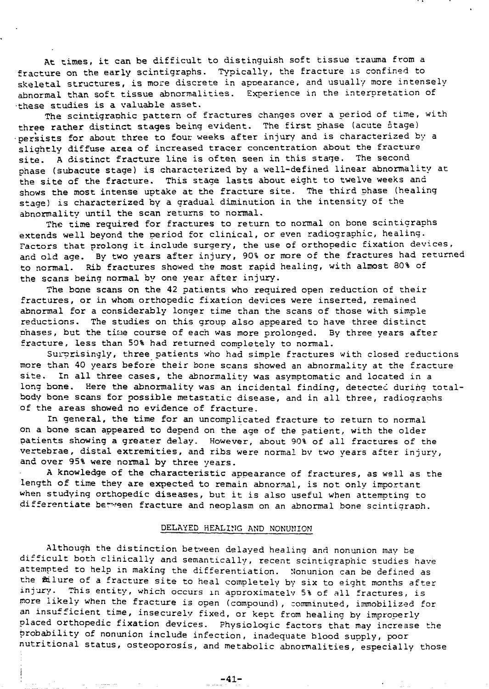At times, it can be difficult to distinguish soft tissue trauma from a fracture on the early scintigraphs. Typically, the fracture is confined to skeletal structures, is more discrete in appearance, and usually more intensely abnormal than soft tissue abnormalities. Experience in the interpretation of •these studies is a valuable asset.

The scintigraphic pattern of fractures changes over a period of time, with three rather distinct stages being evident. The first phase (acute stage) •persists for about three to four weeks after injury and is characterized by a sliahtly diffuse area of increased tracer concentration about the fracture site. A distinct fracture line is often seen in this stage. The second phase (subacute stage) is characterized by a well-defined linear abnormality at the site of the fracture. This stage lasts about eight to twelve weeks and shows the most intense uptake at the fracture site. The third phase (healing stage) is characterized by a gradual diminution in the intensity of the abnormality until the scan returns to normal.

The time required for fractures to return to normal on bone scinticraphs extends well beyond the period for clinical, or even radiographic, healing. Factors that prolong it include surgery, the use of orthopedic fixation devices, and old age. By two years after injury, 90% or more of the fractures had returned to normal. Rib fractures showed the most rapid healing, with almost 80% of the scans being normal by one year after injury.

The bone scans on the 42 patients who required open reduction of their fractures, or in whom orthopedic fixation devices were inserted, remained abnormal for a considerably longer time than the scans of those with simple reductions. The studies on this group also appeared to have three distinct nhases, but the time course of each was more prolonged. By three years after fracture, less than 50% had returned completely to normal.

Surprisingly, three patients who had simple fractures with closed reductions more than 40 years before their bone scans showed an abnormality at the fracture site. In all three cases, the abnormality was asymptomatic and located in a long bone. Here the abnormality was an incidental finding, detected during totalbody bone scans for possible metastatic disease, and in all three, radiograohs of the areas showed no evidence of fracture.

In general, the time for an uncomplicated fracture to return to normal on a bone scan appeared to depend on the age of the patient, with the older patients showing a greater delay. However, about 90% of all fractures of the vertebrae, distal extremities, and ribs were normal bv two years after injury, and over 95% were normal by three years.

A knowledge of the characteristic appearance of fractures, as well as the length of time they are expected to remain abnormal, is not only important when studying orthopedic diseases, but it is also useful when attempting to differentiate between fracture and neoplasm on an abnormal bone scintigraph.

### DELAYED HEALING AND NONUNION

Although the distinction between delayed healing and nonunion may be difficult both clinically and semantically, recent scintigraphic studies have attempted to help in making the differentiation. Nonunion can be defined as the filure of a fracture site to heal completely by six to eight months after injury. This entity, which occurs in approximately 5% of all fractures, is more likely when the fracture is open (compound), comminuted, immobilized for an insufficient time, insecurely fixed, or kept from healing by improperly placed orthopedic fixation devices. Physiologic factors that may increase the probability of nonunion include infection, inadequate blood supply, poor nutritional status, osteoporosis, and metabolic abnormalities, especially those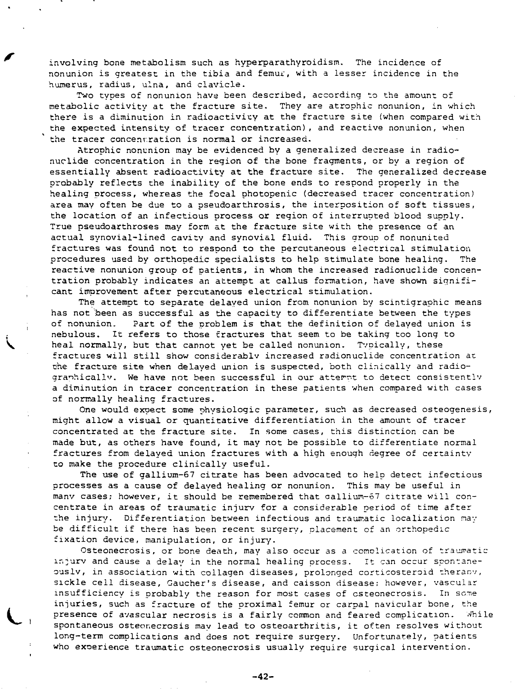involving bone metabolism such as hyperparathyroidism. The incidence of nonunion is greatest in the tibia and femur, with a lesser incidence in the humerus, radius, ulna, and clavicle.

Two types of nonunion have been described, according to the amount of metabolic activity at the fracture site. They are atrophic nonunion, in which there is a diminution in radioactivity at the fracture site (when compared with the expected intensity of tracer concentration), and reactive nonunion, when the tracer concentration is normal or increased.

Atrophic nonunion may be evidenced by a generalized decrease in radionuclide concentration in the region of tha bone fragments, or by a region of essentially absent radioactivity at the fracture site. The generalized decrease probably reflects the inability of the bone ends to respond properly in the healing process, whereas the focal photopenic (decreased tracer concentration) area may often be due to a pseudoarthrosis, the interposition of soft tissues, the location of an infectious process or region of interrupted blood supply. True pseudoarthroses may form at the fracture site with the presence of an actual synovial-lined cavity and synovial fluid. This group of nonunited fractures was found not to respond to the percutaneous electrical stimulation procedures used by orthopedic specialists to help stimulate bone healing. The reactive nonunion group of patients, in whom the increased radionuclide concentration probably indicates an attempt at callus formation, have shown significant improvement after percutaneous electrical stimulation.

The attempt to separate delayed union from nonunion by scintigraphic means has not been as successful as the capacity to differentiate between the types of nonunion. Part of the problem is that the definition of delayed union is nebulous. It refers to those fractures that seem to be taking too long to heal normally, but that cannot yet be called nonunion. Typically, these fractures will still show considerablv increased radionuclide concentration at che fracture site when delayed union is suspected, both clinically and radiographically. We have not been successful in our atternt to detect consistently a diminution in tracer concentration in these patients when compared with cases of normally healing fractures.

One would expect some physiologic parameter, such as decreased osteogenesis, might allow a visual or quantitative differentiation in the amount of tracer concentrated at the fracture site. In some cases, this distinction can be made but, as others have found, it may not be possible to differentiate normal fractures from delayed union fractures with a high enough degree of certainty to make the procedure clinically useful.

The use of gallium-67 citrate has been advocated to help detect infectious processes as a cause of delayed healing or nonunion. This may be useful in manv cases; however, it should be remembered that aalliun-67 citrate will concentrate in areas of traumatic injurv for a considerable period of time after the injury. Differentiation between infectious and traumatic localization nay be difficult if there has been recent surgery, placement of an orthopedic fixation device, manipulation, or injury.

Osteonecrosis, or bone death, may also occur as a complication of traumatic injurv and cause a delay in the normal healing process. It can occur spontaneously, in association with collagen diseases, prolonged corticosteroid therany, sickle cell disease, Gaucher's disease, and caisson disease; however, vascular insufficiency is probably the reason for most cases of csteonecrosis. In some injuries, such as fracture of the proximal femur or carpal navicular bone, the presence of avascular necrosis is a fairly common and feared complication. While spontaneous osteonecrosis may lead to osteoarthritis, it often resolves without long-term complications and does not require surgery. Unfortunately, patients who exoerience traumatic osteonecrosis usually require surgical intervention.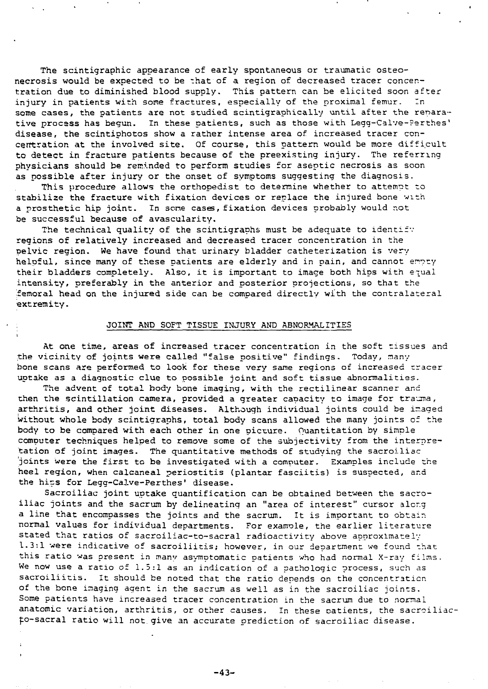The scintigraphic appearance of early spontaneous or traumatic osteonecrosis would be expected to be that of a region of decreased tracer concentration due to diminished blood supply. This pattern can be elicited soon after injury in patients with some fractures, especially of the proximal femur. In some cases, the patients are not studied scintigraphically until after the renarative process has begun. In these patients, such as those with Legg-Calve-Ferthes' disease, the scintiphotos show a rather intense area of increased tracer concentration at the involved site. Of course, this pattern would be more difficult to detect in fracture patients because of the preexisting injury. The referring physicians should be reminded to perform studies for aseptic necrosis as soon as possible after injury or the onset of symptoms suggesting the diagnosis.

This procedure allows the orthopedist to determine whether to attempt to stabilize the fracture with fixation devices or replace the injured bone with a prosthetic hip joint. In scne cases, fixation devices probably would not be successful because of avascularity.

The technical quality of the scintigraphs must be adequate to identify regions of relatively increased and decreased tracer concentration in the pelvic region. We have found that urinary bladder catheterization is very helpful, since many of these patients are elderly and in pain, and cannot empty their bladders completely. Also, it is important to image both hips with equal intensity, preferably in the anterior and posterior projections, so that the femoral head on the injured side can be compared directly with the contralateral extremity.

#### ; JOINT AND SOFT TISSUE INJURY AND ABNORMALITIES

At one time, areas of increased tracer concentration in the soft tissues and the vicinity of joints were called "false positive" findings. Today, many bone scans are performed to look for these very sane regions of increased tracer uptake as a diagnostic clue to possible joint and soft tissue abnormalities.

The advent of total body bone imaging, with the rectilinear scanner and then the scintillation camera, provided a greater capacity to image for trauma, arthritis, and other joint diseases. Although individual joints could be imaged without whole body scintigraphs, total body scans allowed the many joints of the body to be compared with each other in one picture. Ouantitation by simple computer techniques helped to remove some of the subjectivity from the interpretation of joint images. The quantitative methods of studying the sacroiliac 'joints were the first to be investigated with a computer. Examples include the heel region, when calcaneal periostitis (plantar fasciitis) is suspected, and the hips for Legg-Calve-Perthes' disease.

Sacroiliac joint uptake quantification can be obtained between the sacroiliac joints and the sacrum by delineating an "area of interest" cursor alcr.g a line that encompasses the joints and the sacrum. It is important to obtain normal values for individual departments. For exanrole, the earlier literature stated that ratios of sacroiliac-to-sacral radioactivity above approximately 1.3:1 were indicative of sacroiliitis; however, in our department we found that this ratio was present in many asymptomatic patients who had normal X-ray films. We now use a ratio of 1.5:1 as an indication of a pathologic process, such as sacroiliitis. It should be noted that the ratio depends on the concentration of the bone imaging agent in the sacrum as well as in the sacroiliac joints. Some patients have increased tracer concentration in the sacrum due to normal anatomic variation, arthritis, or other causes. In these oatients, the sacroiliacf.o-sacral ratio will not. give an accurate prediction of sacroiliac disease.

-43-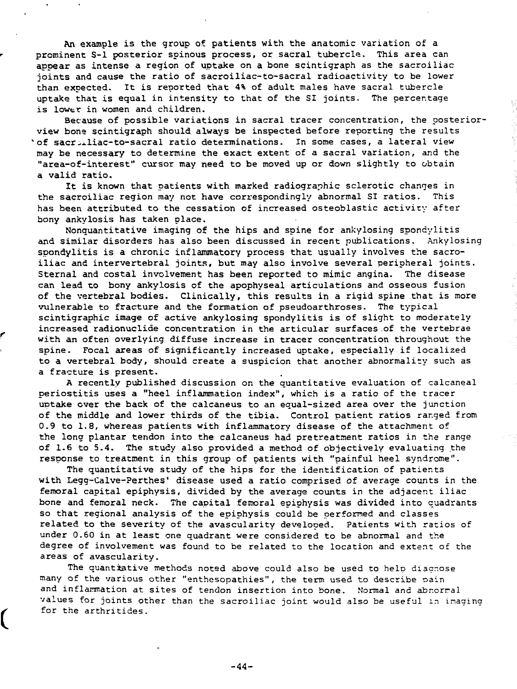An example is the group of patients with the anatomic variation of a prominent S-l posterior spinous process, or sacral tubercle. This area can appear as intense a region of uptake on a bone scintigraph as the sacroiliac joints and cause the ratio of sacroiliac-to-sacral radioactivity to be lower than expected. It is reported that 4% of adult males have sacral tubercle uptake that is equal in intensity to that of the SI joints. The percentage is lower in women and children.

Because of possible variations in sacral tracer concentration, the posteriorview bone scintigraph should always be inspected before reporting the results 'of sacroiliac-to-sacral ratio determinations. In some cases, a lateral view may be necessary to determine the exact extent of a sacral variation, and the "area-of-interest" cursor may need to be moved up or down slightly to obtain a valid ratio.

V

It is known that patients with marked radiographic sclerotic changes in the sacroiliac region may not have correspondingly abnormal SI ratios. This has been attributed to the cessation of increased osteoblastic activity after bony ankylosis has taken place.

Nonquantitative imaging of the hips and spine for ankylosing spondylitis and similar disorders has also been discussed in recent publications. Ankylosing spondylitis is a chronic inflammatory process that usually involves the sacroiliac and intervertebral joints, but may also involve several peripheral joints. Sternal and costal involvement has been reported to mimic angina. The disease can lead to bony ankylosis of the apophyseal articulations and osseous fusion of the vertebral bodies. Clinically, this results in a rigid spine that is more vulnerable to fracture and the formation of pseudoarthroses. The typical scintigraphic image of active ankylosing spondylitis is of slight to moderately increased radionuclide concentration in the articular surfaces of the vertebrae with an often overlying diffuse increase in tracer concentration throughout the spine. Focal areas of significantly increased uptake, especially if localized to a vertebral body, should create a suspicion that another abnormality such as a fracture is present.

A recently published discussion on the quantitative evaluation of calcaneal periostitis uses a "heel inflammation index", which is a ratio of the tracer uotake ever the back of the calcaneus to an equal-sized area over the junction of the middle and lower thirds of the tibia. Control patient ratios ranged from 0.9 to 1.8, whereas patients with inflammatory disease of the attachment of the long plantar tendon into the calcaneus had pretreatment ratios in the range of 1.6 to 5.4. The study also provided a method of objectively evaluating the response to treatment in this group of patients with "painful heel syndrome".

The quantitative study of the hips for the identification of patients with Legg-Calve-Perthes' disease used a ratio comprised of average counts in the femoral capital epiphysis, divided by the average counts in the adjacent iliac bone and femoral neck. The capital femoral epiphysis was divided into quadrants so that regional analysis of the epiphysis could be performed and classes related to the severity of the avascularity developed. Patients with ratios of under 0.60 in at least one quadrant were considered to be abnormal and the degree of involvement was found to be related to the location and extent of the areas of avascularity.

The quantiative methods noted above could also be used to help diagnose many of the various other "enthesopathies", the term used to describe oain and inflammation at sites of tendon insertion into bone. Normal and abrormal values for joints other than the sacroiliac joint would also be useful in imaging for the arthritides.

ĺ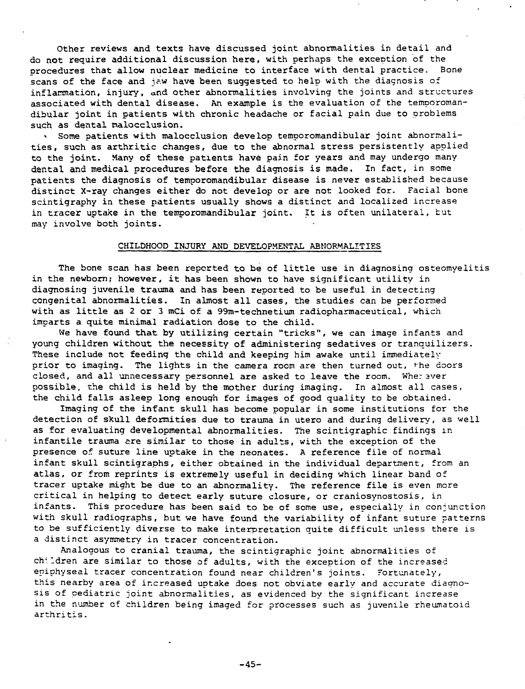Other reviews and texts have discussed joint abnormalities in detail and do not require additional discussion here, with perhaps the exception of the procedures that allow nuclear medicine to interface with dental practice. Bone scans of the face and jaw have been suggested to help with the diagnosis of inflammation, injury, and other abnormalities involving the joints and structures associated with dental disease. An example is the evaluation of the temporomandibular joint in patients with chronic headache or facial pain due to problems such as dental nalocclusion.

\* Some patients with malocclusion develop temporomandibular joint abnormalities, such as arthritic changes, due to the abnormal stress persistently applied to the joint. Many of these patients have pain for years and may undergo many dental and medical procedures before the diagnosis is made. In fact, in some patients the diagnosis of temporomandibular disease is never established because distinct X-ray changes either do not develop or are not looked for. Facial bone scintigraphy in these patients usually shows a distinct and localized increase in tracer uptake in the temporomandibular joint. It is often unilateral, tut may involve both joints.

#### CHILDHOOD INJURY AND DEVELOPMENTAL ABNORMALITIES

The bone scan has been reported to be of little use in diagnosing osteomyelitis in the newborn; however, it has been shown to have significant utility in diagnosing juvenile trauma and has been reported to be useful in detecting congenital abnormalities. In almost all cases, the studies can be performed with as little as 2 or 3 mCi of a 99m-technetium radiopharmaceutical, which imparts a quite minimal radiation dose to the child.

We have found that by utilizing certain "tricks", we can image infants and young children without the necessity of administering sedatives or tranquilizers. These include not feeding the child and keeping him awake until immediately prior to imaging. The lights in the camera room are then turned out, 'he doors closed, and all unnecessary personnel are asked to leave the room. Wherever possible, the child is held by the mother during imaging. In almost all cases, the child falls asleep long enough for images of good quality to be obtained.

Imaging of the infant skull has become popular in some institutions for the detection of skull deformities due to trauma in utero and during delivery, as well as for evaluating developmental abnormalities. The scintigraphic findings in infantile trauma are similar to those in adults, with the exception of the presence of suture line uptake in the neonates. A reference file of normal infant skull scintigraphs, either obtained in the individual department, from an atlas, or from reprints is extremely useful in deciding which linear band of tracer uptake might be due to an abnormality. The reference file is even more critical in helping to detect early suture closure, or craniosynostosis, in infants. This procedure has been said to be of some use, especially in conjunction with skull radiographs, but we have found the variability of infant suture patterns to be sufficiently diverse to make interpretation quite difficult unless there is a distinct asymmetry in tracer concentration.

Analogous to cranial trauma, the scintigraphic joint abnormalities of children are similar to those of adults, with the exception of the increased eniphyseal tracer concentration found near children's joints. Fortunately, this nearby area of increased uptake does not obviate early and accurate diagnosis of pediatric joint abnormalities, as evidenced by the significant increase in the number of children being imaged for processes such as juvenile rheumatoid arthritis.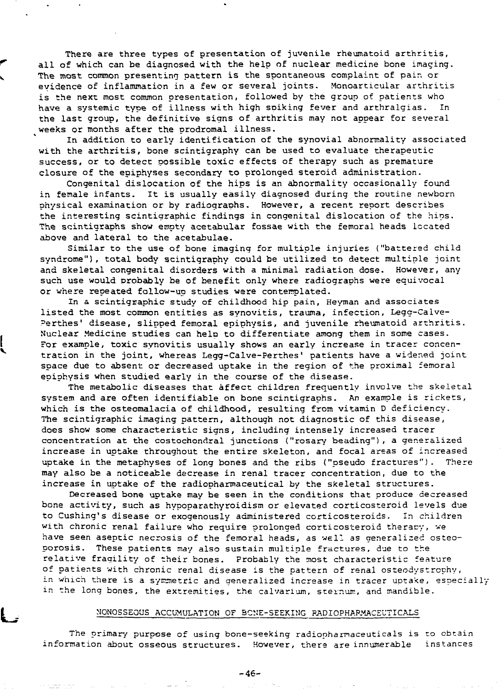There are three types of presentation of juvenile rheumatoid arthritis, all of which can be diagnosed with the help of nuclear medicine bone imaging. The most common presenting pattern is the spontaneous complaint of pair, or evidence of inflammation in a few or several joints. Monoarticular arthritis is the next most common presentation, followed by the group of patients who have a systemic type of illness with high soiking fever and arthralgias. In the last group, the definitive signs of arthritis may not appear for several weeks or months after the prodromal illness.

In addition to early identification of the synovial abnormality associated with the arthritis, bone scintigraphy can be used to evaluate therapeutic success, or to detect possible toxic effects of therapy such as premature closure of the epiphyses secondary to prolonged steroid administration.

Congenital dislocation of the hips is an abnormality occasionally found in female infants. It is usually easily diagnosed during the routine newborn physical examination or by radiographs. However, a recent report describes the interesting scintigraphic findings in congenital dislocation of the hips. The scintigraphs show empty acetabular fossae with the femoral heads located above and lateral to the acetabulae.

Similar to the use of bone imaging for multiple injuries ("battered child syndrome"), total body scintigraphy could be utilized to detect multiple joint and skeletal congenital disorders with a minimal radiation dose. However, any such use would probably be of benefit only where radiographs were equivocal or where repeated follow-up studies were contemplated.

In a scintigraphic study of childhood hip pain, Heyman and associates listed the most common entities as synovitis, trauma, infection, Legg-Calve-Perthes' disease, slipped femoral epiphysis, and juvenile rheumatoid arthritis. Nuclear Medicine studies can help to differentiate among them in some cases. For example, toxic synovitis usually shows an early increase in tracer concentration in the joint, whereas Legg-Calve-Perthes' patients have a widened joint space due to absent or decreased uptake in the region of the proximal femoral epiphysis when studied early in the course of the disease.

The metabolic diseases that affect children frequently involve the skeletal system and are often identifiable on bone scintigraphs. An example is rickets, which is the osteomalacia of childhood, resulting from vitamin D deficiency. The scintigraphic imaging pattern, although not diagnostic of this disease, does show some characteristic signs, including intensely increased tracer concentration at the costochondral junctions ("rosary beading"), a generalized increase in uptake throughout the entire skeleton, and focal areas of increased uptake in the metaphyses of long bones and the ribs ("pseudo fractures"). There may also be a noticeable decrease in renal tracer concentration, due to the increase in uptake of the radiopharmaceutical by the skeletal structures.

Decreased bone uptake may be seen in the conditions that produce decreased bone activity, such as hypoparathyroidism or elevated corticosteroid levels due to Cushing's disease or exogenously administered corticosteroids. In children with chronic renal failure who require prolonged corticosteroid theracy, we have seen aseptic necrosis of the femoral heads, as well as generalised osteoporosis. These patients may also sustain multiple fractures, due to the relative fragility of their bones. Probably the most characteristic feature of patients with chronic renal disease is the pattern of renal osteodystrcphy, in which there is a symmetric and generalized increase in tracer uptake, especially in the long bones, the extremities, the calvarium, sternum, and mandible.

#### MONOSSEOUS ACCUMULATION OF BONE-SEEKING BADIOPHARMACEuTICALS

The primary purpose of using bone-seeking radiopharmaceuticals is to obtain information about osseous structures. However, there are innumerable instances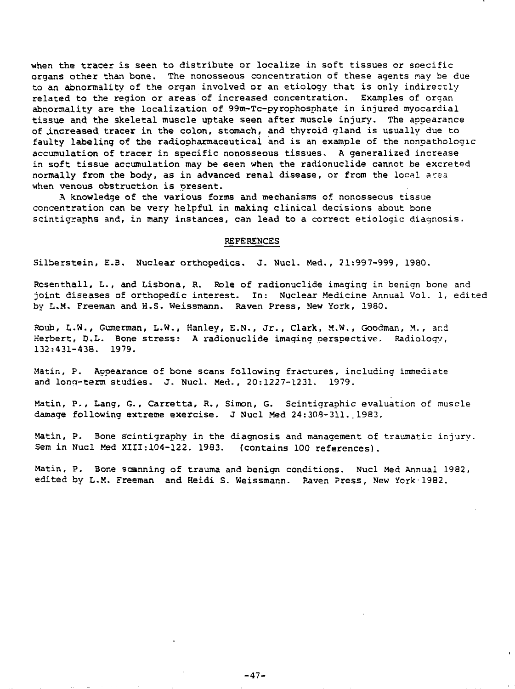when the tracer is seen to distribute or localize in soft tissues or specific organs other than bone. The nonosseous concentration of these agents nay be due to an abnormality of the organ involved or an etiology that is only indirectly related to the region or areas of increased concentration. Examples of organ abnormality are the localization of 99m-Tc-pyrophosnhate in injured myocardial tissue and the skeletal muscle uptake seen after muscle injury. The appearance of .increased tracer in the colon, stomach, and thyroid gland is usually due to faulty labeling of the radiooharmaceuticai and is an example of the nonpathologic accumulation of tracer in specific nonosseous tissues. A generalized increase in soft tissue accumulation may be seen when the radionuclide cannot be excreted normally from the body, as in advanced renal disease, or from the local area when venous obstruction is present.

A knowledge of the various forms and mechanisms of nonosseous tissue concentration can be very helpful in making clinical decisions about bone scintigraphs and, in many instances, can lead to a correct etiologic diagnosis.

#### REFERENCES

Silberstein, E.B, Nuclear orthopedics. J. Nucl. Med. , 21:997-999, 1980.

Rcsenthall, L., and Lisbona, R. Role of radionuclide imaging in benign bone and joint diseases of orthopedic interest. In: Nuclear Medicine Annual Vol. 1, edited by L-M. Freeman and H-S. Weissaann. Raver, Press, New York, 1980.

Roub, L.W., Gumerman, L.W., Hanley, E.N., Jr., Clark, M.W., Goodman, M. , ar.d Herbert, D.L. Bone stress: A radionuclide imaging perspective. Radiologv, 132:431-438. 1979.

Matin, P. Appearance of bone scans following fractures, including immediate and long-term studies. J. Nucl. Med., 20:1227-1231. 1979.

Matin, P., Lang, G., Carretta, R., Simon, G. Scintigraphic evaluation of muscle damage following extreme exercise. J Nucl Med 24:308-311..1983.

Matin, P. Bone scintigraphy in the diagnosis and management of traumatic injury. Sem in Nucl Med XIII:104-122. 1983. (contains 100 references).

Matin, P. Bone scanning of trauma and benign conditions. Nucl Med Annual 1982, edited by L.M. Freeman and Heidi S. Weissmann. Raven Press, New York-1982.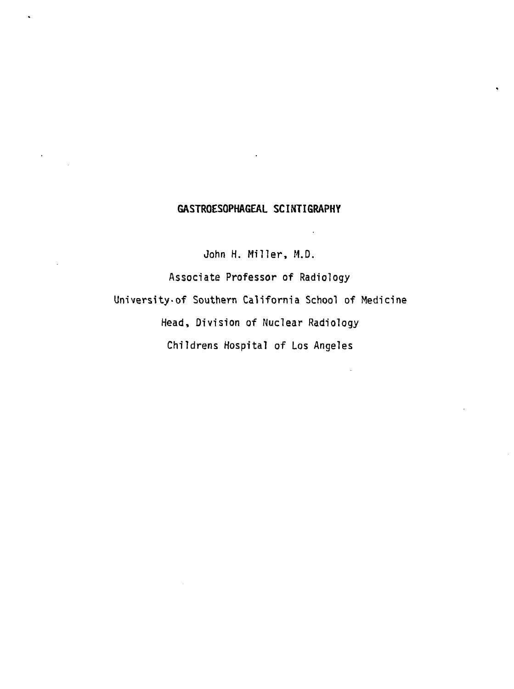# **GASTROESOPHAGEAL SCINTIGRAPHY**

 $\ddot{\phantom{a}}$ 

 $\ddot{\phantom{a}}$ 

**John H. Miller, M.D.** Associate Professor of Radiology University-of Southern California School of Medicine Head, Division of Nuclear Radiology Childrens Hospital of Los Angeles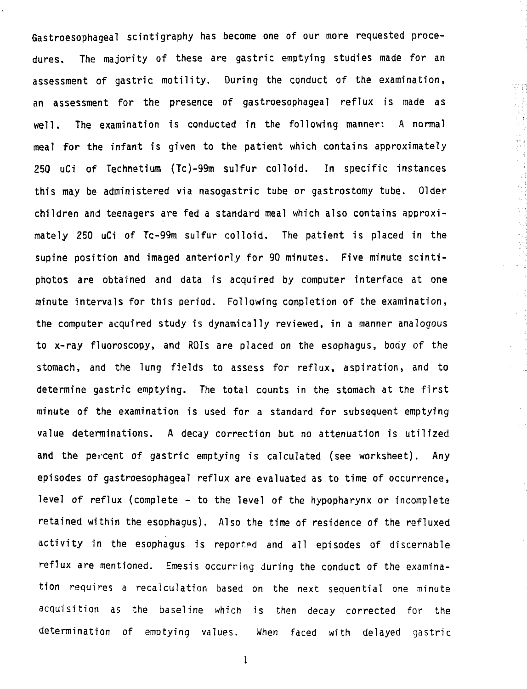**Gastroesophageal scintigraphy has become one of our more requested procedures. The majority of these are gastric emptying studies made for an assessment of gastric motility. During the conduct of the examination, an assessment for the presence of gastroesophageal reflux is made as well. The examination is conducted in the following manner: A normal meal for the infant is given to the patient which contains approximately 250 uCi of Technetium (Tc)-99m sulfur colloid. In specific instances this may be administered via nasogastric tube or gastrostomy tube. Older children and teenagers are fed a standard meal which also contains approximately 250 uCi of Tc-99m sulfur colloid. The patient is placed in the supine position and imaged anteriorly for 90 minutes. Five minute scintiphotos are obtained and data is acquired by computer interface at one minute intervals for this period. Following completion of the examination, the computer acquired study is dynamically reviewed, in a manner analogous to x-ray fluoroscopy, and ROIs are placed on the esophagus, body of the stomach, and the lung fields to assess for reflux, aspiration, and to determine gastric emptying. The total counts in the stomach at the first minute of the examination is used for a standard for subsequent emptying value determinations. A decay correction but no attenuation is utilized and the percent of gastric emptying is calculated (see worksheet). Any episodes of gastroesophageal reflux are evaluated as to time of occurrence, level of reflux (complete - to the level of the hypopharynx or incomplete retained within the esophagus). Also the time of residence of the refluxed activity in the esophagus is reported and all episodes of discernable reflux are mentioned. Emesis occurring during the conduct of the examination requires a recalculation based on the next sequential one minute acquisition as the baseline which is then decay corrected for the determination of emptying values. When faced with delayed gastric**  $\mathcal{L}^{\mathcal{A}}$ 

1000年1000年

1997年,1998年,1998年,1998年,1998年,1998年,1998年,1998年,1998年,1998年,1998年,1998年,1998年,1998年,1998年,1998年,1998

w C

 $\sim \frac{3}{3}$ 

 $\mathbb{R}^{\mathbb{Z}}$ 

 $\mathbf{1}$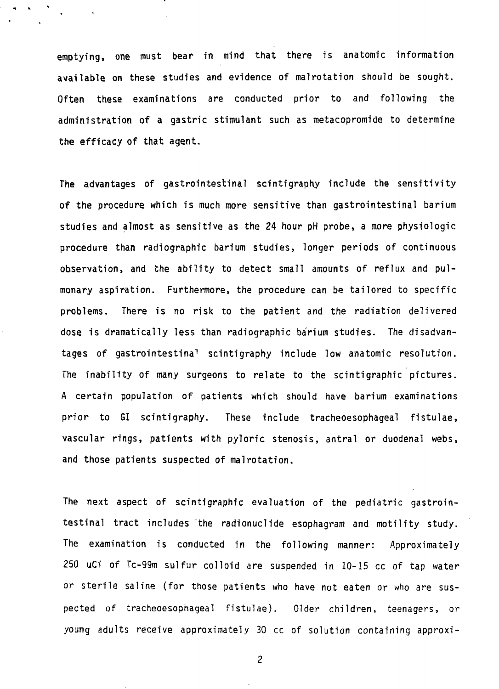**emptying, one must bear in mind that there is anatomic information available on these studies and evidence of malrotation should be sought. Often these examinations are conducted prior to and following the administration of a gastric stimulant such as metacopromide to determine the efficacy of that agent.**

**The advantages of gastrointestinal scintigraphy include the sensitivity of the procedure which is much more sensitive than gastrointestinal barium studies and almost as sensitive as the 24 hour pH probe, a more physiologic procedure than radiographic barium studies, longer periods of continuous observation, and the ability to detect small amounts of reflux and pulmonary aspiration. Furthermore, the procedure can be tailored to specific problems. There is no risk to the patient and the radiation delivered dose is dramatically less than radiographic barium studies. The disadvantages of gastrointestina<sup>1</sup> scintigraphy include low anatomic resolution. The inability of many surgeons to relate to the scintigraphic pictures. A certain population of patients which should have barium examinations prior to GI scintigraphy. These include tracheoesophageal fistulae, vascular rings, patients with pyloric stenosis, antral or duodenal webs, and those patients suspected of malrotation.**

**The next aspect of scintigraphic evaluation of the pediatric gastrointestinal tract includes the radionuclide esophagram and motility study. The examination is conducted in the following manner: Approximately 250 uCi of Tc-99m sulfur colloid are suspended in 10-15 cc of tap water or sterile saline (for those patients who have not eaten or who are suspected of tracheoesophageal fistulae). Older children, teenagers, or young adults receive approximately 30 cc of solution containing approxi-**

 $\overline{c}$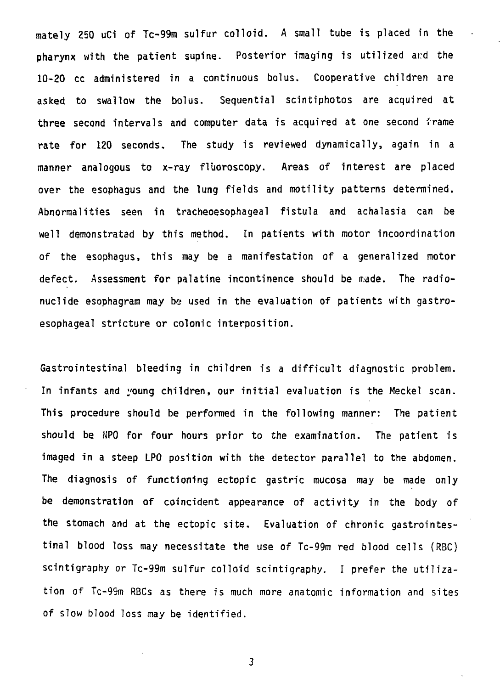**mately 250 uCi of Tc-99m sulfur colloid. A small tube is placed in the pharynx with the patient supine. Posterior imaging is utilized ar:d the 10-20 cc administered in a continuous bolus. Cooperative children are asked to swallow the bolus. Sequential scintiphotos are acquired at three second intervals and computer data is acquired at one second frame rate for 120 seconds. The study is reviewed dynamically, again in a manner analogous to x-ray fltioroscopy. Areas of interest are placed over the esophagus and the lung fields and motility patterns determined. Abnormalities seen in tracheoesophageal fistula and achalasia can be well demonstrated by this method. In patients with motor incoordination of the esophagus, this may be a manifestation of a generalized motor defect. Assessment for palatine incontinence should be made. The radionuclide esophagram may be used in the evaluation of patients with gastroesophageal stricture or colonic interposition.**

**Gastrointestinal bleeding in children is a difficult diagnostic problem. In infants and young children, our initial evaluation is the Meckel scan. This procedure should be performed in the following manner: The patient should be NPO for four hours prior to the examination. The patient is imaged in a steep LPO position with the detector parallel to the abdomen. The diagnosis of functioning ectopic gastric mucosa may be made only be demonstration of coincident appearance of activity in the body of the stomach and at the ectopic site. Evaluation of chronic gastrointestinal blood loss may necessitate the use of Tc-99m red blood cells (RBC) scintigraphy or Tc-99m sulfur colloid scintigraphy. I prefer the utilization of Tc-99m RBCs as there is much more anatomic information and sites of slow blood loss may be identified.**

3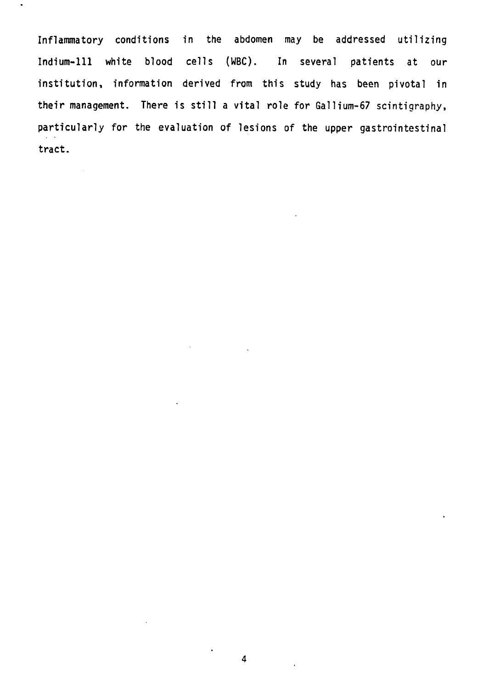**Inflammatory conditions in the abdomen may be addressed utilizing Indium-Ill white blood cells (WBC). In several patients at our institution, information derived from this study has been pivotal in their management. There is still a vital role for Gallium-67 scintigraphy, particularly for the evaluation of lesions of the upper gastrointestinal tract.**

 $\bullet$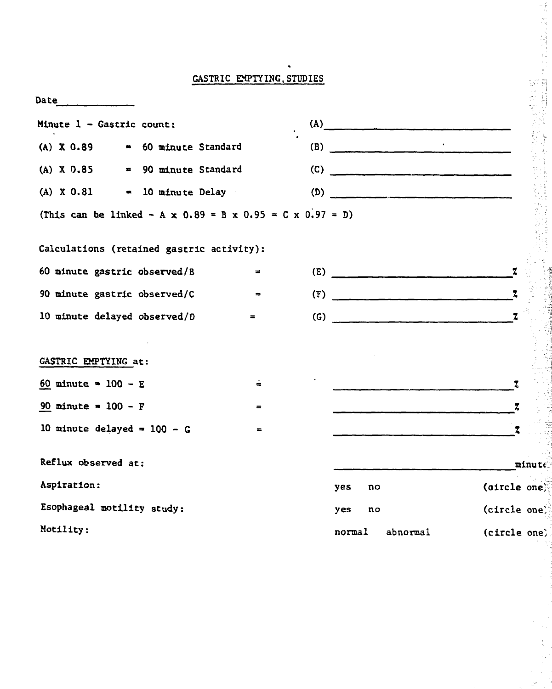# **GASTRIC EMPTYING,STUDIES**

| Date $\qquad \qquad$                                                        |                                           |                |  |        |    |                                   |              |        |
|-----------------------------------------------------------------------------|-------------------------------------------|----------------|--|--------|----|-----------------------------------|--------------|--------|
| Minute $1 -$ Gastric count:                                                 |                                           |                |  |        |    | (A)                               |              |        |
| $(A)$ X 0.89                                                                | <b>60 minute Standard</b>                 |                |  |        |    | (B) $\qquad \qquad \qquad$        |              |        |
| $(A)$ X 0.85                                                                | = 90 minute Standard                      |                |  |        |    |                                   |              |        |
| $(A) \times 0.81$                                                           | = 10 minute Delay                         |                |  |        |    | (D)                               |              |        |
| (This can be linked - $A \times 0.89 = B \times 0.95 = C \times 0.97 = D$ ) |                                           |                |  |        |    |                                   |              |        |
|                                                                             | Calculations (retained gastric activity): |                |  |        |    |                                   |              |        |
|                                                                             | 60 minute gastric observed/B              | $\blacksquare$ |  |        |    | $(E)$ $\qquad \qquad$             |              |        |
|                                                                             | 90 minute gastric observed/C              | $\Rightarrow$  |  |        |    | (F)                               | $\mathbf{z}$ |        |
| 10 minute delayed observed/D                                                |                                           | $=$            |  |        |    | $\overline{z}$ (G) $\overline{z}$ |              |        |
|                                                                             |                                           |                |  |        |    |                                   |              |        |
| GASTRIC EMPTYING at:                                                        |                                           |                |  |        |    |                                   |              |        |
| $60$ minute = $100 - E$                                                     |                                           | ÷              |  |        |    |                                   | Z.           |        |
| 90 minute = $100 - F$                                                       |                                           | $=$            |  |        |    |                                   | z.           |        |
| 10 minute delayed = $100 - G$                                               |                                           | $\equiv$       |  |        |    |                                   | z            |        |
| Reflux observed at:                                                         |                                           |                |  |        |    |                                   |              | minute |
| Aspiration:                                                                 |                                           |                |  | yes    | no |                                   | (oircle one) |        |
| Esophageal motility study:                                                  |                                           |                |  | yes    | no |                                   | (circle one) |        |
| Motility:                                                                   |                                           |                |  | normal |    | abnormal                          | (circle one) |        |

à.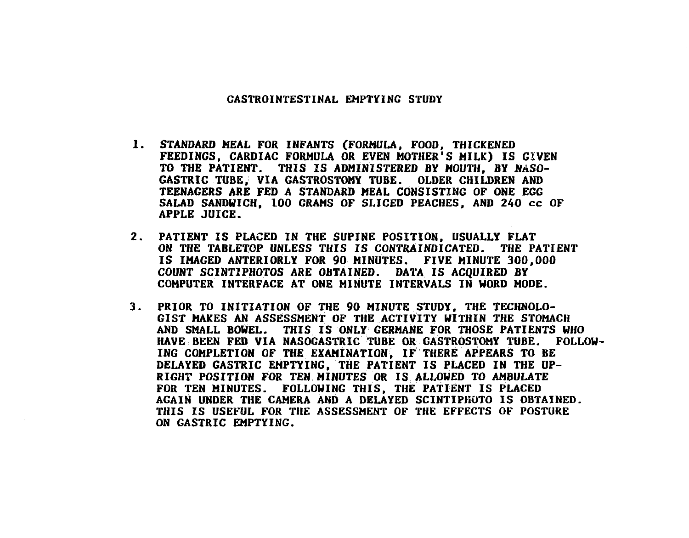#### **GASTROINTESTINAL EMPTVINC STUDY**

- **1. STANDARD MEAL FOR INFANTS (FORMULA, FOOD, THICKENED FEEDINGS, CARDIAC FORMULA OR EVEN MOTHER'S MILK) IS GIVEN TO THE PATIENT. THIS IS ADMINISTERED BY MOUTH, BY NASO-GASTRIC TUBE, VIA GASTROSTOMY TUBE. OLDER CHILDREN AND TEENAGERS ARE FED A STANDARD MEAL CONSISTING OF ONE EGG SALAD SANDWICH, 100 GRAMS OF SLICED PEACHES, AND 240 cc OF APPLE JUICE.**
- **2. PATIENT IS PLACED IN THE SUPINE POSITION, USUALLY FLAT ON THE TABLETOP UNLESS THIS IS CONTRAINDICATED. THE PATIENT IS IMAGED ANTERIORLY FOR 90 MINUTES. FIVE MINUTE 300,000 COUNT SCINTIPHOTOS ARE OBTAINED. DATA IS ACQUIRED BY COMPUTER INTERFACE AT ONE MINUTE INTERVALS IN WORD MODE.**
- **3. PRIOR TO INITIATION OF THE 90 MINUTE STUDY, THE TECHNOLO-GIST MAKES AN ASSESSMENT OF THE ACTIVITY WITHIN THE STOMACH AND SMALL BOWEL. THIS IS ONLY GERMANE FOR THOSE PATIENTS WHO HAVE BEEN FED VIA NASOGASTRIC TUBE OR GASTROSTOMY TUBE. FOLLOW-ING COMPLETION OF THE EXAMINATION, IF THERE APPEARS TO BE DELAYED GASTRIC EMPTYING, THE PATIENT IS PLACED IN THE UP-RIGHT POSITION FOR TEN MINUTES OR IS ALLOWED TO AMBULATE FOR TEN MINUTES. FOLLOWING THIS, THE PATIENT IS PLACED AGAIN UNDER THE CAMERA AND A DELAYED SCINTIPHOTO IS OBTAINED. THIS IS USEFUL FOR THE ASSESSMENT OF THE EFFECTS OF POSTURE ON GASTRIC EMPTYING.**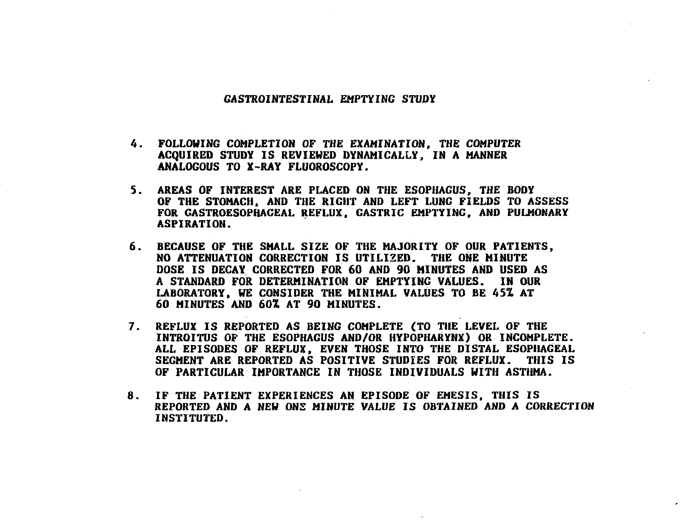#### **GASTROINTESTINAL EMPTYING STUDY**

- **4. FOLLOWING COMPLETION OF THE EXAMINATION, THE COMPUTER ACQUIRED STUDY IS REVIEWED DYNAMICALLY, IN A MANNER ANALOGOUS TO X-RAY FLUOROSCOPY.**
- **5. AREAS OF INTEREST ARE PLACED ON THE ESOPHAGUS, THE BODY OF THE STOMACH, AND THE RIGHT AND LEFT LUNG FIELDS TO ASSESS FOR GASTROESOPHACEAL REFLUX, GASTRIC EMPTYING, AND PULMONARY ASPIRATION.**
- **6. BECAUSE OF THE SMALL SIZE OF THE MAJORITY OF OUR PATIENTS, NO ATTENUATION CORRECTION IS UTILIZED. THE ONE MINUTE DOSE IS DECAY CORRECTED FOR 60 AND 90 MINUTES AND USED AS A STANDARD FOR DETERMINATION OF EMPTYING VALUES. IN OUR LABORATORY, WE CONSIDER THE MINIMAL VALUES TO BE 45% AT 60 MINUTES AND 60% AT 90 MINUTES.**
- **7. REFLUX IS REPORTED AS BEING COMPLETE (TO THE LEVEL OF THE INTROITUS OF THE ESOPHAGUS AND/OR HYPOPHARYNX) OR INCOMPLETE. ALL EPISODES OF REFLUX, EVEN THOSE INTO THE DISTAL ESOPHAGEAL SEGMENT ARE REPORTED AS POSITIVE STUDIES FOR REFLUX. THIS IS OF PARTICULAR IMPORTANCE IN THOSE INDIVIDUALS WITH ASTHMA.**
- **8. IF THE PATIENT EXPERIENCES AN EPISODE OF EMESIS. THIS IS REPORTED AND A NEW ONE MINUTE VALUE IS OBTAINED AND A CORRECTION INSTITUTED.**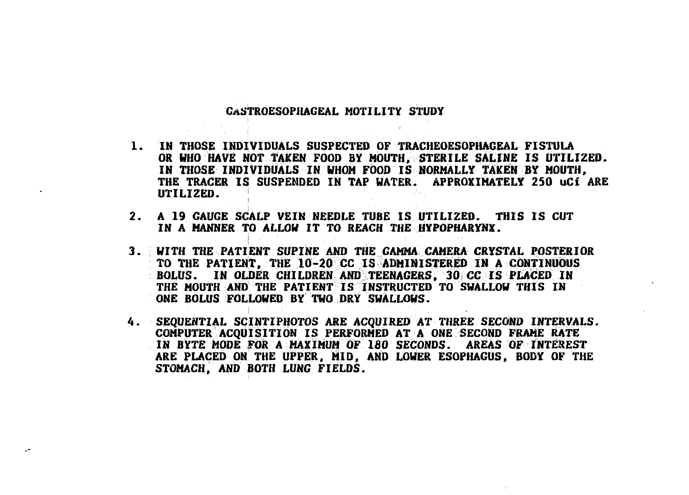# **CASTROESOPIIAGEAL MOTILITY STUDY**

- **1. IN THOSE INDIVIDUALS SUSPECTED OF TRACHEOESOPHAGEAL FISTULA OR WHO HAVE NOT TAKEN FOOD BY MOUTH, STERILE SALINE IS UTILIZED. IN THOSE INDIVIDUALS IN WHOM FOOD IS NORMALLY TAKEN BY MOUTH, THE TRACER IS SUSPENDED IN TAP WATER. APPROXIMATELY 250 uCi ARE UTILIZED.**
- **2. A 19 GAUGE SCALP VEIN NEEDLE TUBE IS UTILIZED. THIS IS CUT IN A MANNER TO ALLOW IT TO REACH THE HYPOPHARYNX.**
- **3. WITH THE PATIENT SUPINE AND THE GAMMA CAMERA CRYSTAL POSTERIOR TO THE PATIENT, THE 10-20 CC IS ADMINISTERED IN A CONTINUOUS BOLUS. IN OLDER CHILDREN AND TEENAGERS, 30 CC IS PLACED IN THE MOUTH AND THE PATIENT IS INSTRUCTED TO SWALLOW THIS IN ONE BOLUS FOLLOWED BY TWO DRY SWALLOWS.**
- **4. SEQUENTIAL SCINTIPHOTOS ARE ACQUIRED AT THREE SECOND INTERVALS. COMPUTER ACQUISITION IS PERFORMED AT A ONE SECOND FRAME RATE IN BYTE MODE FOR A MAXIMUM OF 180 SECONDS. AREAS OF INTEREST ARE PLACED ON THE UPPER, MID, AND LOWER ESOPHAGUS, BODY OF THE STOMACH, AND BOTH LUNG FIELDS.**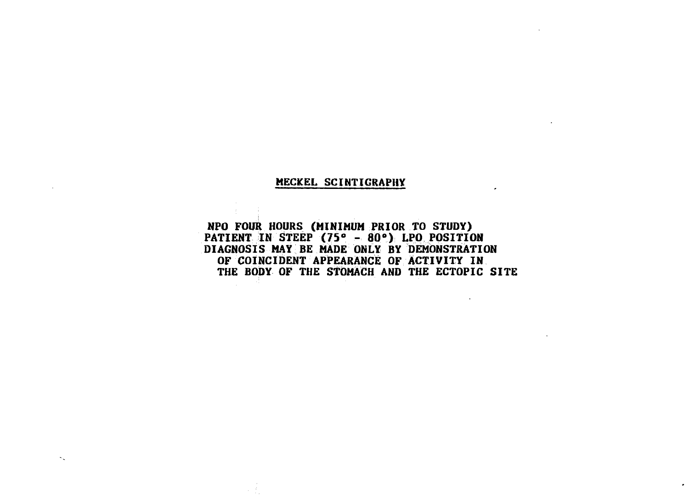# **MECKEL SCINTIGRAPHY**

 $\sim$ 

**NPO FOUR HOURS (MINIMUM PRIOR TO STUDY) PATIENT IN STEEP (75° - 80°) LPO POSITION DIAGNOSIS MAY BE MADE ONLY BY DEMONSTRATION OF COINCIDENT APPEARANCE OF ACTIVITY IN THE BODY OF THE STOMACH AND THE ECTOPIC SITE**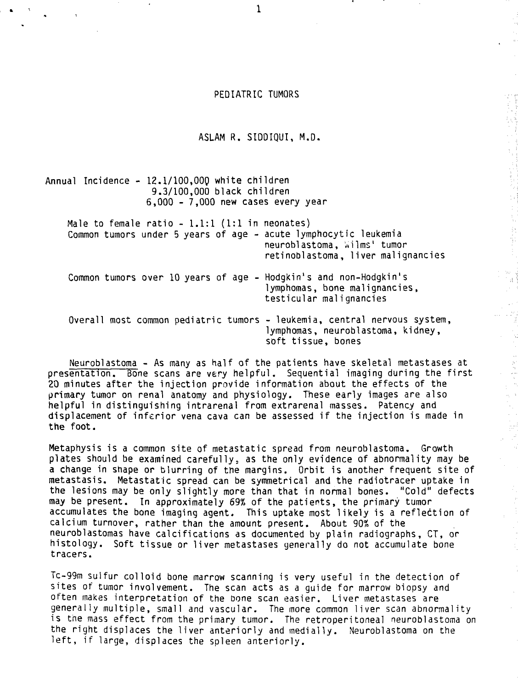# PEDIATRIC TUMORS

ASLAM R. SIDDIQUI, M.D.

Annual Incidence - 12.1/100,000 white children 9.3/100,000 black children 6,000 - 7,000 new cases every year

Male to female ratio  $-1.1:1$  (1:1 in neonates) Common tumors under 5 years of age - acute lymphocytic leukemia neuroblastoma, Wilms' tumor retinoblastoma, liver malignancies Common tumors over 10 years of age - Hodgkin's and non-Hodgkin's lymphomas, bone malignancies, testicular malignancies Overall most common pediatric tumors - leukemia, central nervous system, lymphomas, neuroblastoma, kidney, soft tissue, bones

 $\Lambda$ 

Neuroblastoma - As many as half of the patients have skeletal metastases at presentation. Bone scans are very helpful. Sequential imaging during the first 20 minutes after the injection provide information about the effects of the primary tumor on renal anatomy and physiology. These early images are also helpful in distinguishing intrarenal from extrarenal masses. Patency and displacement of inferior vena cava can be assessed if the injection is made in the foot.

Metaphysis is a common site of metastatic spread from neuroblastoma. Growth plates should be examined carefully; as the only evidence of abnormality may be a change in shape or blurring of the margins. Orbit is another frequent site of metastasis. Metastatic spread can be symmetrical and the radiotracer uptake in the lesions may be only slightly more than that in normal bones. "Cold" defects may be present. In approximately 69% of the patients, the primary tumor accumulates the bone imaging agent. This uptake most likely is a reflection of calcium turnover, rather than the amount present. About 90% of the neuroblastomas have calcifications as documented by plain radiographs, CT, or histology. Soft tissue or liver metastases generally do not accumulate bone tracers.

Tc-99m sulfur colloid bone marrow scanning is very useful in the detection of sites of tumor involvement. The scan acts as a guide for marrow biopsy and often makes interpretation of the bone scan easier. Liver metastases are generally multiple, small and vascular. The more common liver scan abnormality is the mass effect from the primary tumor. The retroperitoneai neuroblastoma on the right displaces the liver anteriorly and medially. Neuroblastoma on the left, if large, displaces the spleen anteriorly.

 $\mathbf{1}$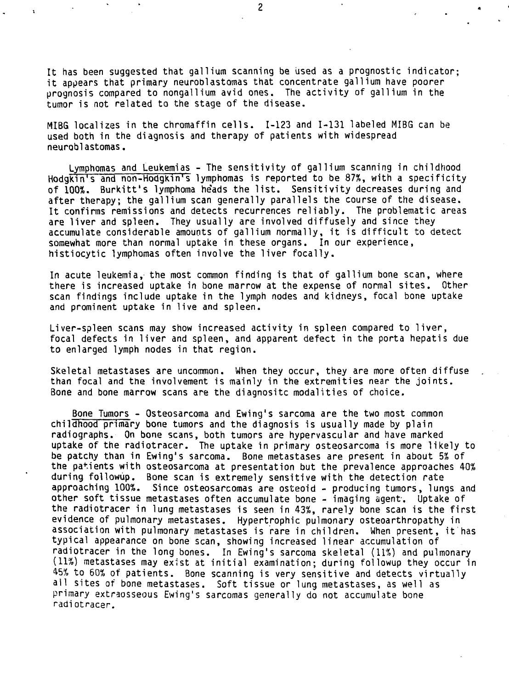It has been suggested that gallium scanning be used as a prognostic indicator: it appears that primary neuroblastomas that concentrate gallium have poorer prognosis compared to nongallium avid ones. The activity of gallium in the tumor is not related to the stage of the disease.

MIBG localizes in the chromaffin cells. 1-123 and 1-131 labeled MIBG can be used both in the diagnosis and therapy of patients with widespread neuroblastomas,

Lymphomas and Leukemias - The sensitivity of gallium scanning in childhood Hodgkin's and non-Hodgkin's lymphomas is reported to be 87%, with a specificity of 100%. Burkitt's lymphoma he'ads the list. Sensitivity decreases during and after therapy; the gallium scan generally parallels the course of the disease. It confirms remissions and detects recurrences reliably. The problematic areas are liver and spleen. They usually are involved diffusely and since they accumulate considerable amounts of gallium normally, it is difficult to detect somewhat more than normal uptake in these organs. In our experience, histiocytic lymphomas often involve the liver focally.

In acute leukemia, the most common finding is that of gallium bone scan, where there is increased uptake in bone marrow at the expense of normal sites. Other scan findings include uptake in the lymph nodes and kidneys, focal bone uptake and prominent uptake in live and spleen.

Liver-spleen scans may show increased activity in spleen compared to liver, focal defects in liver and spleen, and apparent defect in the porta hepatis due to enlarged lymph nodes in that region.

Skeletal metastases are uncommon. When they occur, they are more often diffuse than focal and the involvement is mainly in the extremities near the joints. Bone and bone marrow scans are the diagnositc modalities of choice.

Bone Tumors - Osteosarcoma and Ewing's sarcoma are the two most common childhood primary bone tumors and the diagnosis is usually made by plain radiographs. On bone scans, both tumors are hypervascular and have marked uptake of the radiotracer. The uptake in primary osteosarcoma is more likely to be patchy than in Ewing's sarcoma. Bone metastases are present in about 5% of the patients with osteosarcoma at presentation but the prevalence approaches 40% during followup. Bone scan is extremely sensitive with the detection rate approaching 100%. Since osteosarcomas are osteoid - producing tumors, lungs and other soft tissue metastases often accumulate bone - imaging agent. Uptake of the radiotracer in lung metastases is seen in 43%, rarely bone scan is the first evidence of pulmonary metastases. Hypertrophic pulmonary osteoarthropathy in association with pulmonary metastases is rare in children. When present, it has typical appearance on bone scan, showing increased linear accumulation of radiotracer in the long bones. In Ewing's sarcoma skeletal (11%) and pulmonary (11%) metastases may exist at initial examination; during followup they occur in 45% to 60% of patients. Bone scanning is very sensitive and detects virtually ail sites of bone metastases. Soft tissue or lung metastases, as well as primary extraosseous Ewing's sarcomas generally do not accumulate bone radi otracer.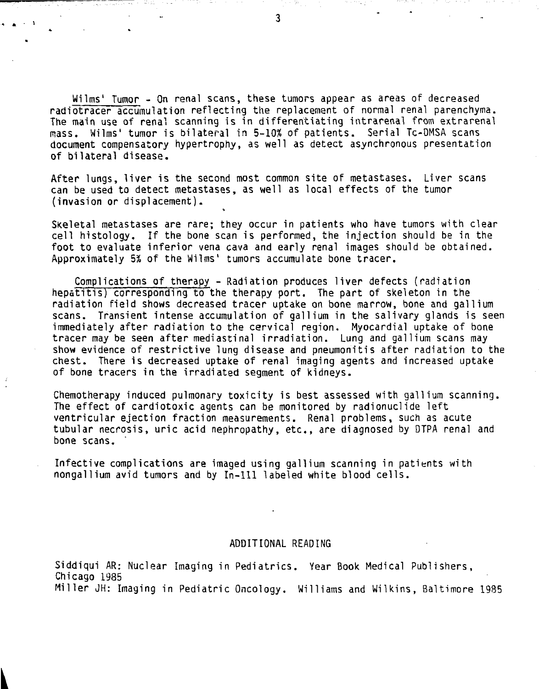Wilms' Tumor - On renal scans, these tumors appear as areas of decreased radiotracer accumulation reflecting the replacement of normal renal parenchyma. The main use of renal scanning is in differentiating intrarenal from extrarenal mass. Wilms' tumor is bilateral in 5-10% of patients. Serial Tc-DMSA scans document compensatory hypertrophy, as well as detect asynchronous presentation of bilateral disease.

After lungs, liver is the second most common site of metastases. Liver scans can be used to detect metastases, as well as local effects of the tumor (invasion or displacement).

Skeletal metastases are rare; they occur in patients who have tumors with clear cell histology. If the bone scan is performed, the injection should be in the foot to evaluate inferior vena cava and early renal images should be obtained. Approximately 5% of the Wilms' tumors accumulate bone tracer.

Complications of therapy - Radiation produces liver defects (radiation hepatitis) corresponding to the therapy port. The part of skeleton in the radiation field shows decreased tracer uptake on bone marrow, bone and gallium scans. Transient intense accumulation of gallium in the salivary glands is seen immediately after radiation to the cervical region. Myocardial uptake of bone tracer may be seen after mediastinal irradiation. Lung and gallium scans may show evidence of restrictive lung disease and pneumonitis after radiation to the chest. There is decreased uptake of renal imaging agents and increased uptake of bone tracers in the irradiated segment of kidneys.

Chemotherapy induced pulmonary toxicity is best assessed with gallium scanning. The effect of cardiotoxic agents can be monitored by radionuclide left ventricular ejection fraction measurements. Renal problems, such as acute tubular necrosis, uric acid nephropathy, etc., are diagnosed by DTPA renal and bone scans.

Infective complications are imaged using gallium scanning in patients with nongallium avid tumors and by In-Il l labeled white blood cells.

#### ADDITIONAL READING

Siddiqui AR: Nuclear Imaging in Pediatrics. Year Book Medical Publishers, Chicago 1985